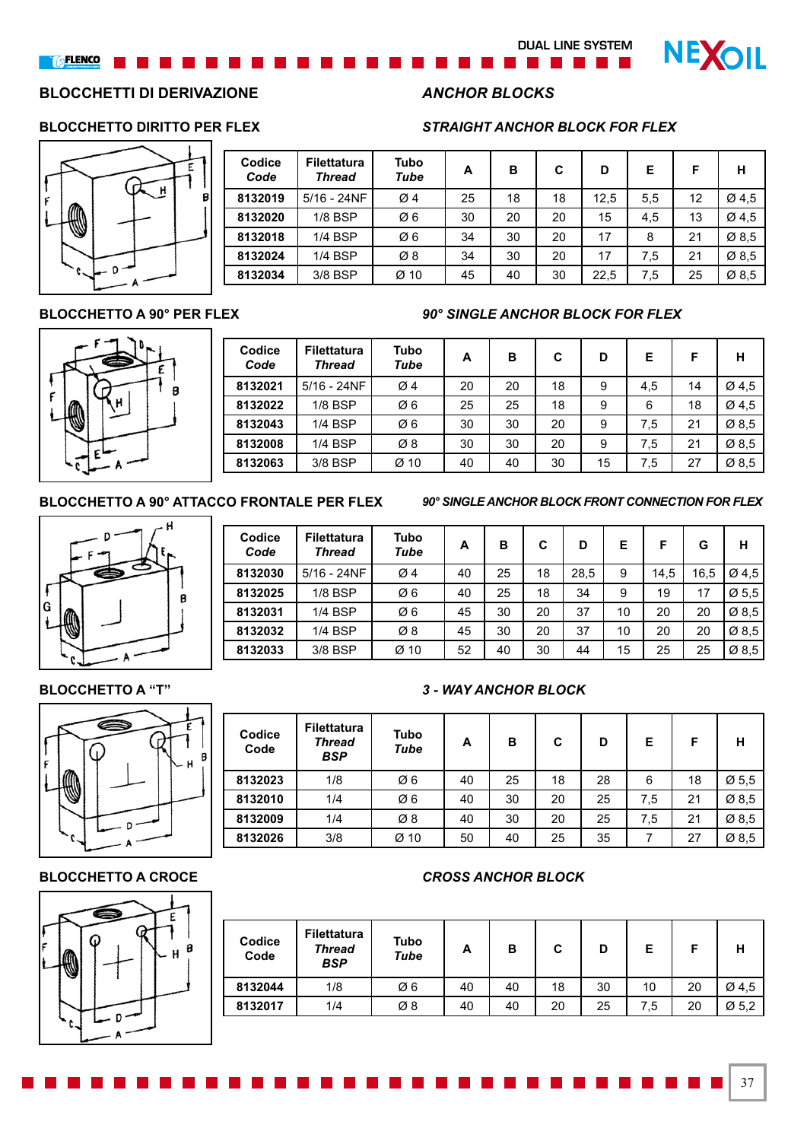### **DUAL LINE SYSTEM**

**NEXOIL** 

# **BLOCCHETTI DI DERIVAZIONE** *ANCHOR BLOCKS*



| Codice<br>Code | <b>Filettatura</b><br><b>Thread</b> | <b>Tubo</b><br>Tube | A  | в  | C  | D    | Е   | F  | н     |
|----------------|-------------------------------------|---------------------|----|----|----|------|-----|----|-------|
| 8132019        | $5/16 - 24NF$                       | $\varnothing$ 4     | 25 | 18 | 18 | 12,5 | 5,5 | 12 | Ø4.5  |
| 8132020        | $1/8$ BSP                           | Ø6                  | 30 | 20 | 20 | 15   | 4,5 | 13 | Ø 4,5 |
| 8132018        | 1/4 BSP                             | Ø6                  | 34 | 30 | 20 | 17   | 8   | 21 | Ø8,5  |
| 8132024        | 1/4 BSP                             | Ø8                  | 34 | 30 | 20 | 17   | 7,5 | 21 | Ø8,5  |
| 8132034        | 3/8 BSP                             | $Ø$ 10              | 45 | 40 | 30 | 22,5 | 7,5 | 25 | Ø 8,5 |

### **BLOCCHETTO A 90° PER FLEX** *90° SINGLE ANCHOR BLOCK FOR FLEX*



| Codice<br>Code | <b>Filettatura</b><br><b>Thread</b> | <b>Tubo</b><br>Tube | A  | в  | C  | D  | Е   | F  | н                 |
|----------------|-------------------------------------|---------------------|----|----|----|----|-----|----|-------------------|
| 8132021        | $5/16 - 24NF$                       | $\varnothing$ 4     | 20 | 20 | 18 | 9  | 4,5 | 14 | $\varnothing$ 4,5 |
| 8132022        | 1/8 BSP                             | Ø6                  | 25 | 25 | 18 | 9  | 6   | 18 | Ø4,5              |
| 8132043        | 1/4 BSP                             | Ø6                  | 30 | 30 | 20 | 9  | 7.5 | 21 | $\varnothing$ 8,5 |
| 8132008        | 1/4 BSP                             | Ø8                  | 30 | 30 | 20 | 9  | 7.5 | 21 | Ø 8,5             |
| 8132063        | 3/8 BSP                             | Ø 10                | 40 | 40 | 30 | 15 | 7.5 | 27 | Ø8,5              |

### **BLOCCHETTO A 90° ATTACCO FRONTALE PER FLEX** *90° SINGLE ANCHOR BLOCK FRONT CONNECTION FOR FLEX*

37



| Codice<br>Code | <b>Filettatura</b><br><b>Thread</b> | <b>Tubo</b><br>Tube | A  | в  | C  | D    | Е  | F    | G    | н                 |
|----------------|-------------------------------------|---------------------|----|----|----|------|----|------|------|-------------------|
| 8132030        | $5/16 - 24NF$                       | $\varnothing$ 4     | 40 | 25 | 18 | 28,5 | 9  | 14,5 | 16,5 | Ø4,5              |
| 8132025        | 1/8 BSP                             | Ø6                  | 40 | 25 | 18 | 34   | 9  | 19   | 17   | Ø5.5              |
| 8132031        | <b>1/4 BSP</b>                      | Ø6                  | 45 | 30 | 20 | 37   | 10 | 20   | 20   | Ø8,5              |
| 8132032        | 1/4 BSP                             | Ø8                  | 45 | 30 | 20 | 37   | 10 | 20   | 20   | $\varnothing$ 8,5 |
| 8132033        | 3/8 BSP                             | Ø 10                | 52 | 40 | 30 | 44   | 15 | 25   | 25   | Ø 8,5             |





| Codice<br>Code | <b>Filettatura</b><br><b>Thread</b><br><b>BSP</b> | Tubo<br><b>Tube</b> | A  | в  | C  | D  | Е   | F  | н                 |
|----------------|---------------------------------------------------|---------------------|----|----|----|----|-----|----|-------------------|
| 8132023        | 1/8                                               | Ø6                  | 40 | 25 | 18 | 28 | 6   | 18 | $\varnothing$ 5,5 |
| 8132010        | 1/4                                               | Ø6                  | 40 | 30 | 20 | 25 | 7.5 | 21 | Ø 8,5             |
| 8132009        | 1/4                                               | Ø8                  | 40 | 30 | 20 | 25 | 7.5 | 21 | Ø 8,5             |
| 8132026        | 3/8                                               | $Ø$ 10              | 50 | 40 | 25 | 35 |     | 27 | Ø 8,5             |

### **BLOCCHETTO A CROCE** *CROSS ANCHOR BLOCK*

| Codice<br>Code | Filettatura<br><b>Thread</b><br><b>BSP</b> | Tubo<br>Tube | A  | в  | C  | D  | Е   | F  |                   |
|----------------|--------------------------------------------|--------------|----|----|----|----|-----|----|-------------------|
| 8132044        | 1/8                                        | Ø6           | 40 | 40 | 18 | 30 | 10  | 20 | Ø4,5              |
| 8132017        | 1/4                                        | Ø8           | 40 | 40 | 20 | 25 | 7.5 | 20 | $\varnothing$ 5,2 |





### **BLOCCHETTO DIRITTO PER FLEX** *STRAIGHT ANCHOR BLOCK FOR FLEX*